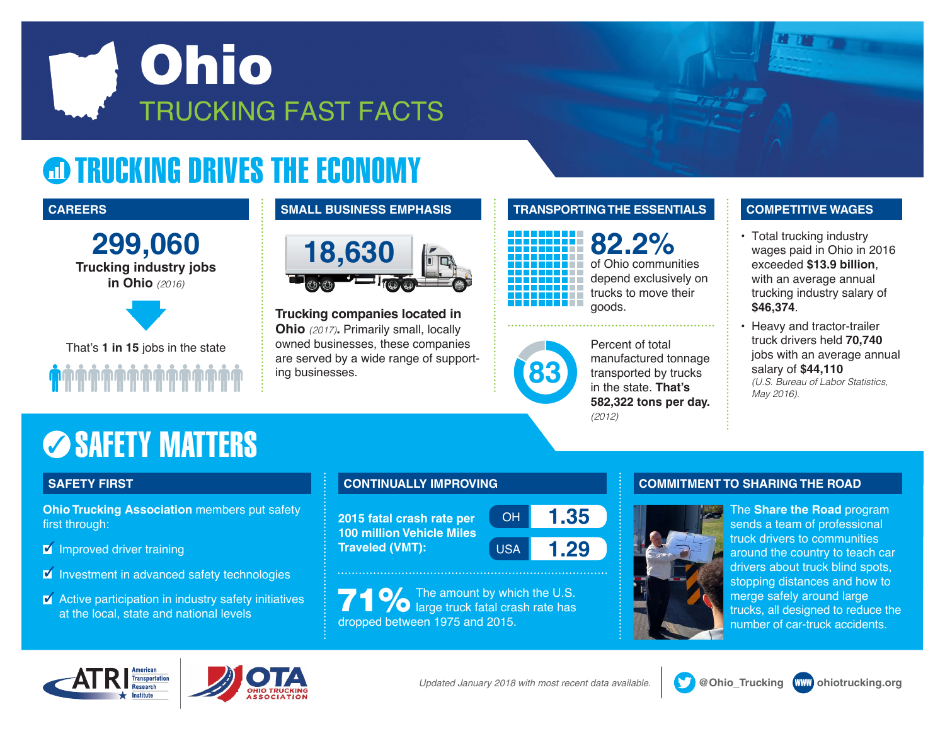

## **@ TRUCKING DRIVES THE ECONOMY**

**299,060 Trucking industry jobs in Ohio** *(2016)*



That's **1 in 15** jobs in the state

### **CAREERS SMALL BUSINESS EMPHASIS TRANSPORTING THE ESSENTIALS COMPETITIVE WAGES**



**Trucking companies located in Ohio** *(2017)***.** Primarily small, locally owned businesses, these companies are served by a wide range of supporting businesses.

## **82.2%** of Ohio communities depend exclusively on trucks to move their goods.



Percent of total manufactured tonnage transported by trucks in the state. **That's 582,322 tons per day.** *(2012)*

- Total trucking industry wages paid in Ohio in 2016 exceeded **\$13.9 billion**, with an average annual trucking industry salary of **\$46,374**.
- Heavy and tractor-trailer truck drivers held **70,740** jobs with an average annual salary of **\$44,110** *(U.S. Bureau of Labor Statistics, May 2016).*

## **SAFETY MATTERS**

**Ohio Trucking Association** members put safety first through:

- $\blacksquare$  Improved driver training
- $\blacksquare$  Investment in advanced safety technologies
- $\blacksquare$  Active participation in industry safety initiatives at the local, state and national levels

**2015 fatal crash rate per 100 million Vehicle Miles Traveled (VMT):**



**71 %**The amount by which the U.S.<br> **71 %** large truck fatal crash rate has dropped between 1975 and 2015.

## **SAFETY FIRST CONTINUALLY IMPROVING COMMITMENT TO SHARING THE ROAD**



The **Share the Road** program sends a team of professional truck drivers to communities around the country to teach car drivers about truck blind spots, stopping distances and how to merge safely around large trucks, all designed to reduce the number of car-truck accidents.